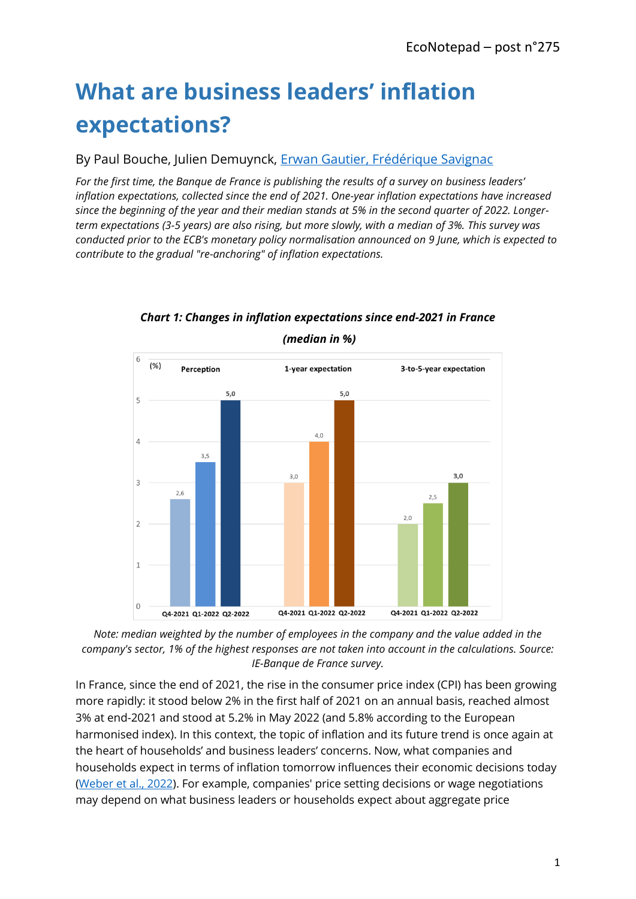# **What are business leaders' inflation expectations?**

By Paul Bouche, Julien Demuynck, [Erwan Gautier,](https://www.banque-france.fr/economie/economistes-et-chercheurs/erwan-gautier) [Frédérique Savignac](https://www.banque-france.fr/economie/economistes-et-chercheurs/frederique-savignac)

*For the first time, the Banque de France is publishing the results of a survey on business leaders' inflation expectations, collected since the end of 2021. One-year inflation expectations have increased since the beginning of the year and their median stands at 5% in the second quarter of 2022. Longerterm expectations (3-5 years) are also rising, but more slowly, with a median of 3%. This survey was conducted prior to the ECB's monetary policy normalisation announced on 9 June, which is expected to contribute to the gradual "re-anchoring" of inflation expectations.*



*Chart 1: Changes in inflation expectations since end-2021 in France* 

*(median in %)*

*Note: median weighted by the number of employees in the company and the value added in the company's sector, 1% of the highest responses are not taken into account in the calculations. Source: IE-Banque de France survey.*

In France, since the end of 2021, the rise in the consumer price index (CPI) has been growing more rapidly: it stood below 2% in the first half of 2021 on an annual basis, reached almost 3% at end-2021 and stood at 5.2% in May 2022 (and 5.8% according to the European harmonised index). In this context, the topic of inflation and its future trend is once again at the heart of households' and business leaders' concerns. Now, what companies and households expect in terms of inflation tomorrow influences their economic decisions today [\(Weber et al., 2022\)](https://faculty.chicagobooth.edu/-/media/faculty/michael-weber/reality-check.pdf). For example, companies' price setting decisions or wage negotiations may depend on what business leaders or households expect about aggregate price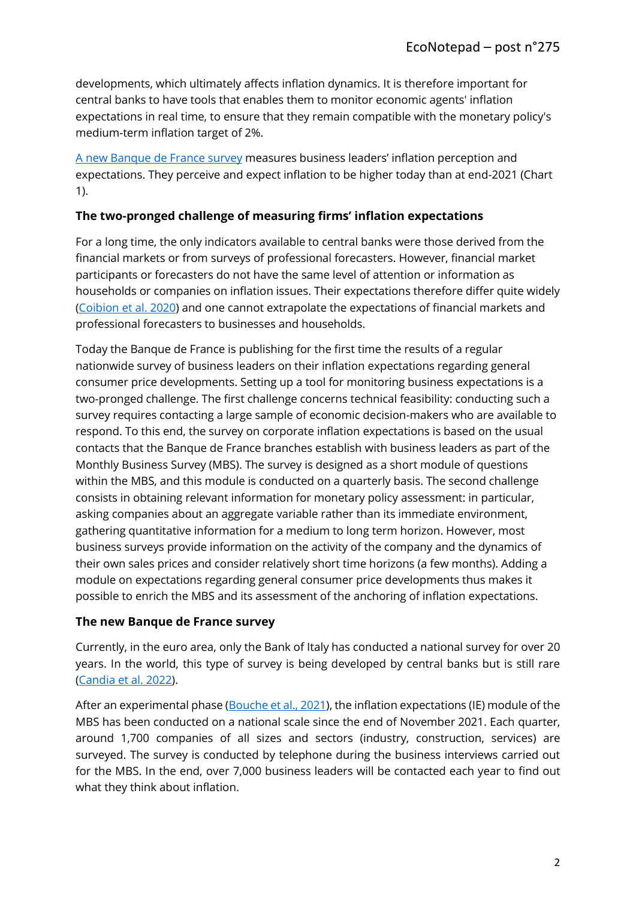developments, which ultimately affects inflation dynamics. It is therefore important for central banks to have tools that enables them to monitor economic agents' inflation expectations in real time, to ensure that they remain compatible with the monetary policy's medium-term inflation target of 2%.

[A new Banque de France survey](https://www.banque-france.fr/en/statistics/inflation/inflation-expectations) measures business leaders' inflation perception and expectations. They perceive and expect inflation to be higher today than at end-2021 (Chart 1).

### **The two-pronged challenge of measuring firms' inflation expectations**

For a long time, the only indicators available to central banks were those derived from the financial markets or from surveys of professional forecasters. However, financial market participants or forecasters do not have the same level of attention or information as households or companies on inflation issues. Their expectations therefore differ quite widely [\(Coibion et al. 2020\)](https://www.sciencedirect.com/science/article/pii/S0022199620300167?via%3Dihub) and one cannot extrapolate the expectations of financial markets and professional forecasters to businesses and households.

Today the Banque de France is publishing for the first time the results of a regular nationwide survey of business leaders on their inflation expectations regarding general consumer price developments. Setting up a tool for monitoring business expectations is a two-pronged challenge. The first challenge concerns technical feasibility: conducting such a survey requires contacting a large sample of economic decision-makers who are available to respond. To this end, the survey on corporate inflation expectations is based on the usual contacts that the Banque de France branches establish with business leaders as part of the Monthly Business Survey (MBS). The survey is designed as a short module of questions within the MBS, and this module is conducted on a quarterly basis. The second challenge consists in obtaining relevant information for monetary policy assessment: in particular, asking companies about an aggregate variable rather than its immediate environment, gathering quantitative information for a medium to long term horizon. However, most business surveys provide information on the activity of the company and the dynamics of their own sales prices and consider relatively short time horizons (a few months). Adding a module on expectations regarding general consumer price developments thus makes it possible to enrich the MBS and its assessment of the anchoring of inflation expectations.

#### **The new Banque de France survey**

Currently, in the euro area, only the Bank of Italy has conducted a national survey for over 20 years. In the world, this type of survey is being developed by central banks but is still rare [\(Candia et al. 2022\)](https://www.nber.org/papers/w30042).

After an experimental phase [\(Bouche et al., 2021\)](https://publications.banque-france.fr/mesurer-les-anticipations-dinflation-des-entreprises), the inflation expectations (IE) module of the MBS has been conducted on a national scale since the end of November 2021. Each quarter, around 1,700 companies of all sizes and sectors (industry, construction, services) are surveyed. The survey is conducted by telephone during the business interviews carried out for the MBS. In the end, over 7,000 business leaders will be contacted each year to find out what they think about inflation.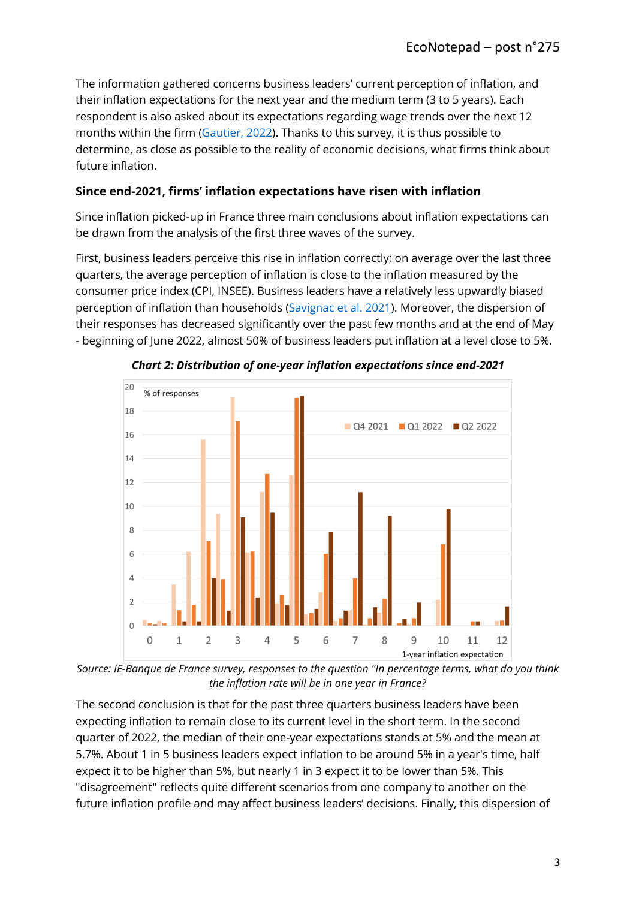The information gathered concerns business leaders' current perception of inflation, and their inflation expectations for the next year and the medium term (3 to 5 years). Each respondent is also asked about its expectations regarding wage trends over the next 12 months within the firm [\(Gautier, 2022\)](https://blocnotesdeleco.banque-france.fr/billet-de-blog/les-hausses-de-salaires-negocies-pour-2022-ou-en-est). Thanks to this survey, it is thus possible to determine, as close as possible to the reality of economic decisions, what firms think about future inflation.

## **Since end-2021, firms' inflation expectations have risen with inflation**

Since inflation picked-up in France three main conclusions about inflation expectations can be drawn from the analysis of the first three waves of the survey.

First, business leaders perceive this rise in inflation correctly; on average over the last three quarters, the average perception of inflation is close to the inflation measured by the consumer price index (CPI, INSEE). Business leaders have a relatively less upwardly biased perception of inflation than households [\(Savignac et al. 2021\)](https://www.nber.org/papers/w29376). Moreover, the dispersion of their responses has decreased significantly over the past few months and at the end of May - beginning of June 2022, almost 50% of business leaders put inflation at a level close to 5%.



*Chart 2: Distribution of one-year inflation expectations since end-2021*

*Source: IE-Banque de France survey, responses to the question "In percentage terms, what do you think the inflation rate will be in one year in France?*

The second conclusion is that for the past three quarters business leaders have been expecting inflation to remain close to its current level in the short term. In the second quarter of 2022, the median of their one-year expectations stands at 5% and the mean at 5.7%. About 1 in 5 business leaders expect inflation to be around 5% in a year's time, half expect it to be higher than 5%, but nearly 1 in 3 expect it to be lower than 5%. This "disagreement" reflects quite different scenarios from one company to another on the future inflation profile and may affect business leaders' decisions. Finally, this dispersion of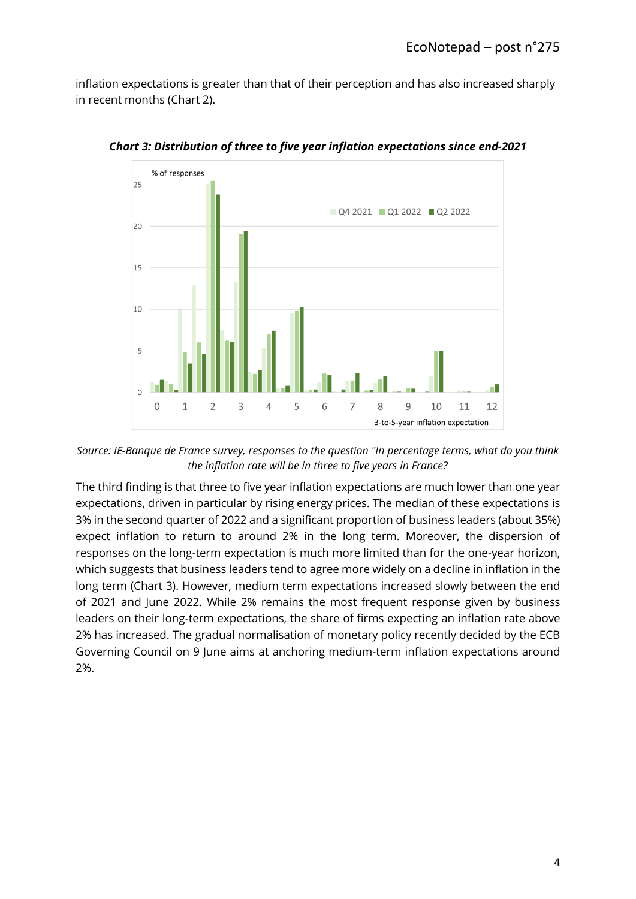inflation expectations is greater than that of their perception and has also increased sharply in recent months (Chart 2).



*Chart 3: Distribution of three to five year inflation expectations since end-2021*

*Source: IE-Banque de France survey, responses to the question "In percentage terms, what do you think the inflation rate will be in three to five years in France?*

The third finding is that three to five year inflation expectations are much lower than one year expectations, driven in particular by rising energy prices. The median of these expectations is 3% in the second quarter of 2022 and a significant proportion of business leaders (about 35%) expect inflation to return to around 2% in the long term. Moreover, the dispersion of responses on the long-term expectation is much more limited than for the one-year horizon, which suggests that business leaders tend to agree more widely on a decline in inflation in the long term (Chart 3). However, medium term expectations increased slowly between the end of 2021 and June 2022. While 2% remains the most frequent response given by business leaders on their long-term expectations, the share of firms expecting an inflation rate above 2% has increased. The gradual normalisation of monetary policy recently decided by the ECB Governing Council on 9 June aims at anchoring medium-term inflation expectations around 2%.